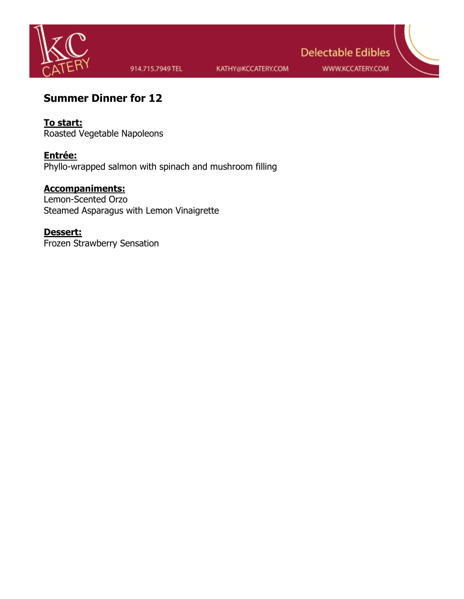

914.715.7949 TEL

KATHY@KCCATERY.COM

**Delectable Edibles** 

WWW.KCCATERY.COM

# **Summer Dinner for 12**

**To start:** Roasted Vegetable Napoleons

**Entrée:** Phyllo-wrapped salmon with spinach and mushroom filling

## **Accompaniments:**

Lemon-Scented Orzo Steamed Asparagus with Lemon Vinaigrette

## **Dessert:**

Frozen Strawberry Sensation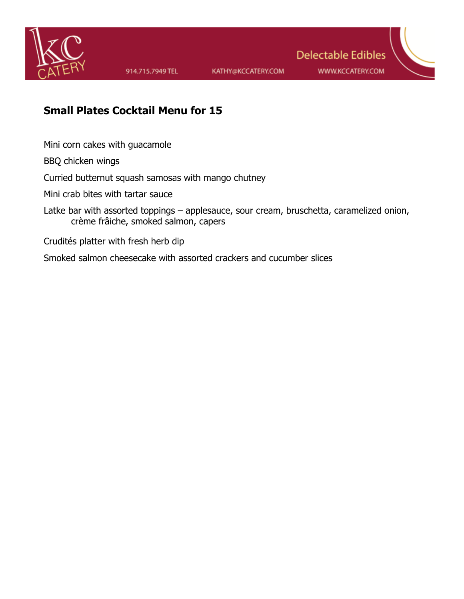

**Delectable Edibles** WWW.KCCATERY.COM

# **Small Plates Cocktail Menu for 15**

Mini corn cakes with guacamole

BBQ chicken wings

Curried butternut squash samosas with mango chutney

Mini crab bites with tartar sauce

Latke bar with assorted toppings – applesauce, sour cream, bruschetta, caramelized onion, crème frâiche, smoked salmon, capers

Crudités platter with fresh herb dip

Smoked salmon cheesecake with assorted crackers and cucumber slices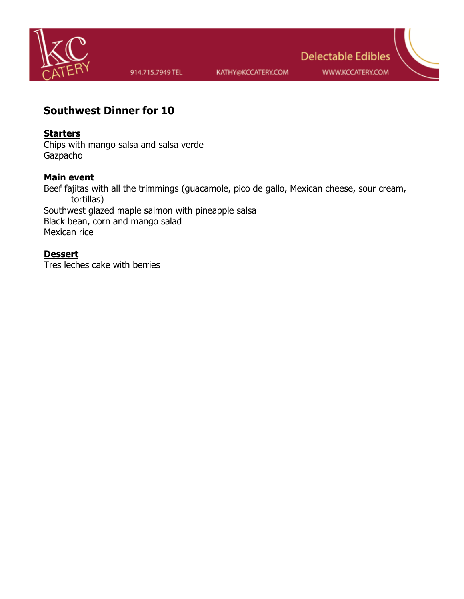

**WWW.KCCATERY.COM** 

**Delectable Edibles** 

## **Southwest Dinner for 10**

## **Starters**

Chips with mango salsa and salsa verde **Gazpacho** 

## **Main event**

Beef fajitas with all the trimmings (guacamole, pico de gallo, Mexican cheese, sour cream, tortillas) Southwest glazed maple salmon with pineapple salsa Black bean, corn and mango salad Mexican rice

### **Dessert**

Tres leches cake with berries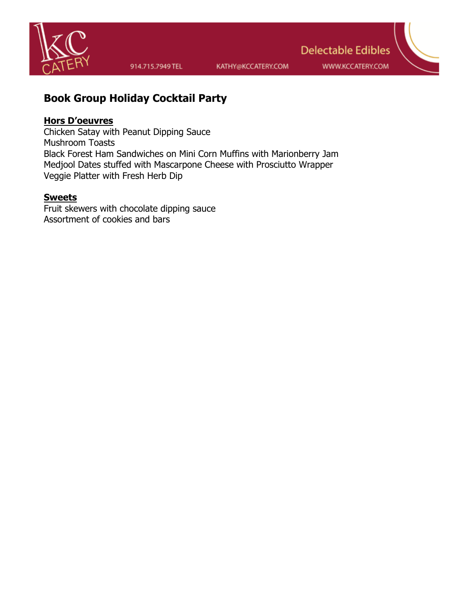

914.715.7949 TEL

KATHY@KCCATERY.COM

WWW.KCCATERY.COM

# **Delectable Edibles**

# **Book Group Holiday Cocktail Party**

## **Hors D'oeuvres**

Chicken Satay with Peanut Dipping Sauce Mushroom Toasts Black Forest Ham Sandwiches on Mini Corn Muffins with Marionberry Jam Medjool Dates stuffed with Mascarpone Cheese with Prosciutto Wrapper Veggie Platter with Fresh Herb Dip

## **Sweets**

Fruit skewers with chocolate dipping sauce Assortment of cookies and bars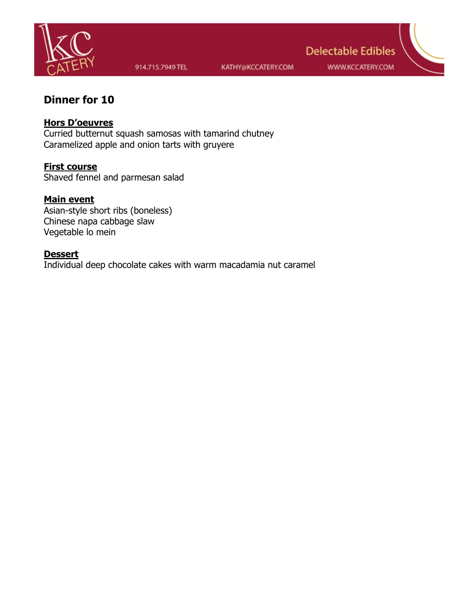

WWW.KCCATERY.COM

**Delectable Edibles** 

# **Dinner for 10**

## **Hors D'oeuvres**

Curried butternut squash samosas with tamarind chutney Caramelized apple and onion tarts with gruyere

**First course**  Shaved fennel and parmesan salad

## **Main event**

Asian-style short ribs (boneless) Chinese napa cabbage slaw Vegetable lo mein

#### **Dessert**

Individual deep chocolate cakes with warm macadamia nut caramel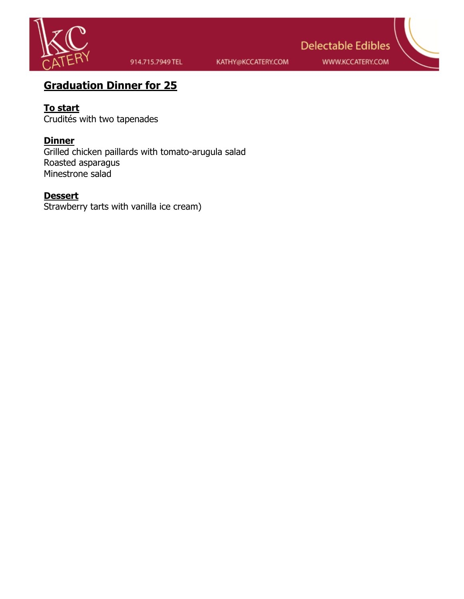

914.715.7949 TEL

KATHY@KCCATERY.COM

WWW.KCCATERY.COM

**Delectable Edibles** 

# **Graduation Dinner for 25**

## **To start**

Crudités with two tapenades

## **Dinner**

Grilled chicken paillards with tomato-arugula salad Roasted asparagus Minestrone salad

## **Dessert**

Strawberry tarts with vanilla ice cream)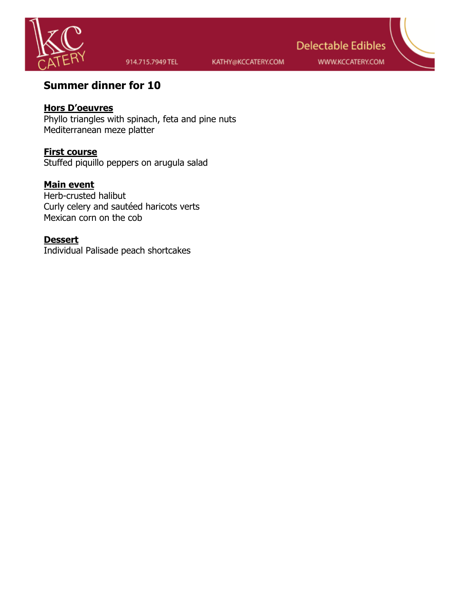

KATHY@KCCATERY.COM

WWW.KCCATERY.COM

**Delectable Edibles** 

# **Summer dinner for 10**

## **Hors D'oeuvres**

Phyllo triangles with spinach, feta and pine nuts Mediterranean meze platter

### **First course**

Stuffed piquillo peppers on arugula salad

## **Main event**

Herb-crusted halibut Curly celery and sautéed haricots verts Mexican corn on the cob

#### **Dessert**

Individual Palisade peach shortcakes